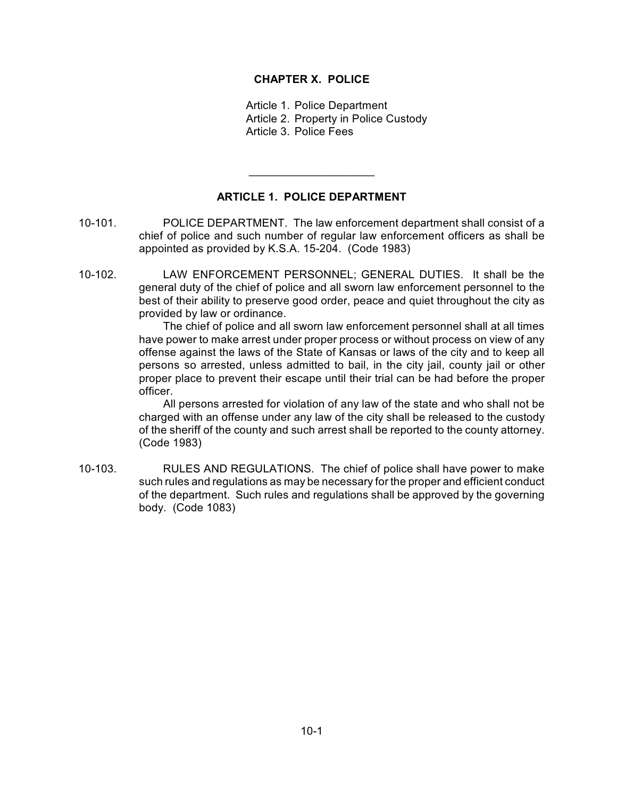#### **CHAPTER X. POLICE**

Article 1. Police Department Article 2. Property in Police Custody Article 3. Police Fees

# **ARTICLE 1. POLICE DEPARTMENT**

 $\overline{\phantom{a}}$  , where  $\overline{\phantom{a}}$  , where  $\overline{\phantom{a}}$  , where  $\overline{\phantom{a}}$  , where  $\overline{\phantom{a}}$ 

- 10-101. POLICE DEPARTMENT. The law enforcement department shall consist of a chief of police and such number of regular law enforcement officers as shall be appointed as provided by K.S.A. 15-204. (Code 1983)
- 10-102. LAW ENFORCEMENT PERSONNEL; GENERAL DUTIES. It shall be the general duty of the chief of police and all sworn law enforcement personnel to the best of their ability to preserve good order, peace and quiet throughout the city as provided by law or ordinance.

The chief of police and all sworn law enforcement personnel shall at all times have power to make arrest under proper process or without process on view of any offense against the laws of the State of Kansas or laws of the city and to keep all persons so arrested, unless admitted to bail, in the city jail, county jail or other proper place to prevent their escape until their trial can be had before the proper officer.

All persons arrested for violation of any law of the state and who shall not be charged with an offense under any law of the city shall be released to the custody of the sheriff of the county and such arrest shall be reported to the county attorney. (Code 1983)

10-103. RULES AND REGULATIONS. The chief of police shall have power to make such rules and regulations as may be necessary for the proper and efficient conduct of the department. Such rules and regulations shall be approved by the governing body. (Code 1083)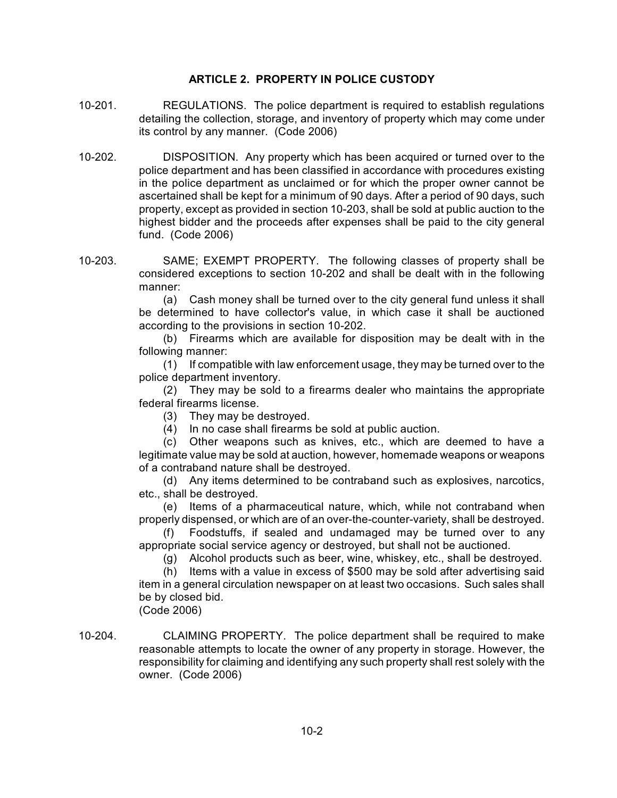# **ARTICLE 2. PROPERTY IN POLICE CUSTODY**

- 10-201. REGULATIONS. The police department is required to establish regulations detailing the collection, storage, and inventory of property which may come under its control by any manner. (Code 2006)
- 10-202. DISPOSITION. Any property which has been acquired or turned over to the police department and has been classified in accordance with procedures existing in the police department as unclaimed or for which the proper owner cannot be ascertained shall be kept for a minimum of 90 days. After a period of 90 days, such property, except as provided in section 10-203, shall be sold at public auction to the highest bidder and the proceeds after expenses shall be paid to the city general fund. (Code 2006)
- 10-203. SAME; EXEMPT PROPERTY. The following classes of property shall be considered exceptions to section 10-202 and shall be dealt with in the following manner:

(a) Cash money shall be turned over to the city general fund unless it shall be determined to have collector's value, in which case it shall be auctioned according to the provisions in section 10-202.

(b) Firearms which are available for disposition may be dealt with in the following manner:

(1) If compatible with law enforcement usage, they may be turned over to the police department inventory.

(2) They may be sold to a firearms dealer who maintains the appropriate federal firearms license.

(3) They may be destroyed.

(4) In no case shall firearms be sold at public auction.

(c) Other weapons such as knives, etc., which are deemed to have a legitimate value may be sold at auction, however, homemade weapons or weapons of a contraband nature shall be destroyed.

(d) Any items determined to be contraband such as explosives, narcotics, etc., shall be destroyed.

(e) Items of a pharmaceutical nature, which, while not contraband when properly dispensed, or which are of an over-the-counter-variety, shall be destroyed.

(f) Foodstuffs, if sealed and undamaged may be turned over to any appropriate social service agency or destroyed, but shall not be auctioned.

(g) Alcohol products such as beer, wine, whiskey, etc., shall be destroyed.

(h) Items with a value in excess of \$500 may be sold after advertising said item in a general circulation newspaper on at least two occasions. Such sales shall be by closed bid.

(Code 2006)

10-204. CLAIMING PROPERTY. The police department shall be required to make reasonable attempts to locate the owner of any property in storage. However, the responsibility for claiming and identifying any such property shall rest solely with the owner. (Code 2006)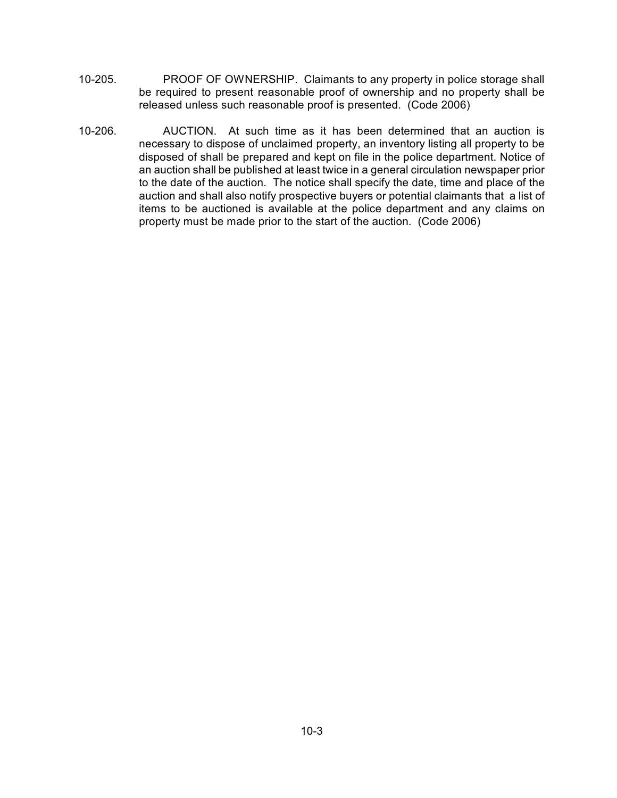- 10-205. PROOF OF OWNERSHIP. Claimants to any property in police storage shall be required to present reasonable proof of ownership and no property shall be released unless such reasonable proof is presented. (Code 2006)
- 10-206. AUCTION. At such time as it has been determined that an auction is necessary to dispose of unclaimed property, an inventory listing all property to be disposed of shall be prepared and kept on file in the police department. Notice of an auction shall be published at least twice in a general circulation newspaper prior to the date of the auction. The notice shall specify the date, time and place of the auction and shall also notify prospective buyers or potential claimants that a list of items to be auctioned is available at the police department and any claims on property must be made prior to the start of the auction. (Code 2006)